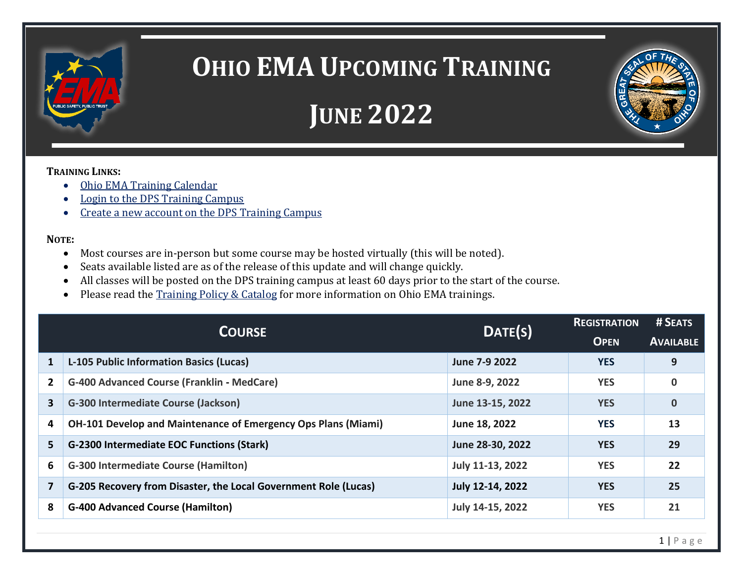

## **OHIO EMA UPCOMING TRAINING**



## **TRAINING LINKS:**

- [Ohio EMA Training Calendar](https://webeoctraining.dps.ohio.gov/TrainingAndExercise/courselist.aspx)
- [Login to the DPS Training Campus](https://learning.dps.ohio.gov/PSTC/)

ī

• [Create a new account on the DPS Training Campus](https://learning.dps.ohio.gov/PSTC/)

## **NOTE:**

- Most courses are in-person but some course may be hosted virtually (this will be noted).
- Seats available listed are as of the release of this update and will change quickly.
- All classes will be posted on the DPS training campus at least 60 days prior to the start of the course.
- Please read the [Training Policy & Catalog](https://ema.ohio.gov/documents/training/ema0201.pdf) for more information on Ohio EMA trainings.

| <b>COURSE</b> |                                                                      | DATE(S)          | <b>REGISTRATION</b> | # SEATS          |
|---------------|----------------------------------------------------------------------|------------------|---------------------|------------------|
|               |                                                                      |                  | <b>OPEN</b>         | <b>AVAILABLE</b> |
| 1             | L-105 Public Information Basics (Lucas)                              | June 7-9 2022    | <b>YES</b>          | 9                |
| 2             | <b>G-400 Advanced Course (Franklin - MedCare)</b>                    | June 8-9, 2022   | <b>YES</b>          | $\mathbf 0$      |
| 3             | <b>G-300 Intermediate Course (Jackson)</b>                           | June 13-15, 2022 | <b>YES</b>          | $\mathbf 0$      |
| 4             | <b>OH-101 Develop and Maintenance of Emergency Ops Plans (Miami)</b> | June 18, 2022    | <b>YES</b>          | 13               |
| 5             | <b>G-2300 Intermediate EOC Functions (Stark)</b>                     | June 28-30, 2022 | <b>YES</b>          | 29               |
| 6             | <b>G-300 Intermediate Course (Hamilton)</b>                          | July 11-13, 2022 | <b>YES</b>          | 22               |
| 7             | G-205 Recovery from Disaster, the Local Government Role (Lucas)      | July 12-14, 2022 | <b>YES</b>          | 25               |
| 8             | <b>G-400 Advanced Course (Hamilton)</b>                              | July 14-15, 2022 | <b>YES</b>          | 21               |
|               |                                                                      |                  |                     |                  |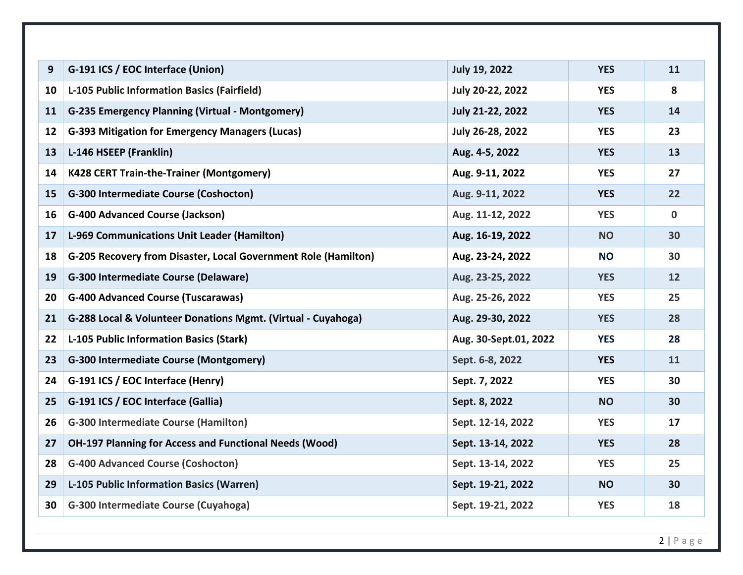| 9                 | G-191 ICS / EOC Interface (Union)                              | <b>July 19, 2022</b>  | <b>YES</b> | 11          |
|-------------------|----------------------------------------------------------------|-----------------------|------------|-------------|
| 10                | <b>L-105 Public Information Basics (Fairfield)</b>             | July 20-22, 2022      | <b>YES</b> | 8           |
| 11                | <b>G-235 Emergency Planning (Virtual - Montgomery)</b>         | July 21-22, 2022      | <b>YES</b> | 14          |
| $12 \overline{ }$ | <b>G-393 Mitigation for Emergency Managers (Lucas)</b>         | July 26-28, 2022      | <b>YES</b> | 23          |
| 13                | L-146 HSEEP (Franklin)                                         | Aug. 4-5, 2022        | <b>YES</b> | 13          |
| 14                | <b>K428 CERT Train-the-Trainer (Montgomery)</b>                | Aug. 9-11, 2022       | <b>YES</b> | 27          |
| 15                | <b>G-300 Intermediate Course (Coshocton)</b>                   | Aug. 9-11, 2022       | <b>YES</b> | 22          |
| 16                | <b>G-400 Advanced Course (Jackson)</b>                         | Aug. 11-12, 2022      | <b>YES</b> | $\mathbf 0$ |
| 17                | L-969 Communications Unit Leader (Hamilton)                    | Aug. 16-19, 2022      | <b>NO</b>  | 30          |
| 18                | G-205 Recovery from Disaster, Local Government Role (Hamilton) | Aug. 23-24, 2022      | <b>NO</b>  | 30          |
| 19                | <b>G-300 Intermediate Course (Delaware)</b>                    | Aug. 23-25, 2022      | <b>YES</b> | 12          |
| 20                | <b>G-400 Advanced Course (Tuscarawas)</b>                      | Aug. 25-26, 2022      | <b>YES</b> | 25          |
| 21                | G-288 Local & Volunteer Donations Mgmt. (Virtual - Cuyahoga)   | Aug. 29-30, 2022      | <b>YES</b> | 28          |
| 22                | L-105 Public Information Basics (Stark)                        | Aug. 30-Sept.01, 2022 | <b>YES</b> | 28          |
| 23                | G-300 Intermediate Course (Montgomery)                         | Sept. 6-8, 2022       | <b>YES</b> | 11          |
| 24                | G-191 ICS / EOC Interface (Henry)                              | Sept. 7, 2022         | <b>YES</b> | 30          |
| 25                | G-191 ICS / EOC Interface (Gallia)                             | Sept. 8, 2022         | <b>NO</b>  | 30          |
| 26                | <b>G-300 Intermediate Course (Hamilton)</b>                    | Sept. 12-14, 2022     | <b>YES</b> | 17          |
| 27                | <b>OH-197 Planning for Access and Functional Needs (Wood)</b>  | Sept. 13-14, 2022     | <b>YES</b> | 28          |
| 28                | <b>G-400 Advanced Course (Coshocton)</b>                       | Sept. 13-14, 2022     | <b>YES</b> | 25          |
| 29                | <b>L-105 Public Information Basics (Warren)</b>                | Sept. 19-21, 2022     | <b>NO</b>  | 30          |
| 30                | G-300 Intermediate Course (Cuyahoga)                           | Sept. 19-21, 2022     | <b>YES</b> | 18          |
|                   |                                                                |                       |            |             |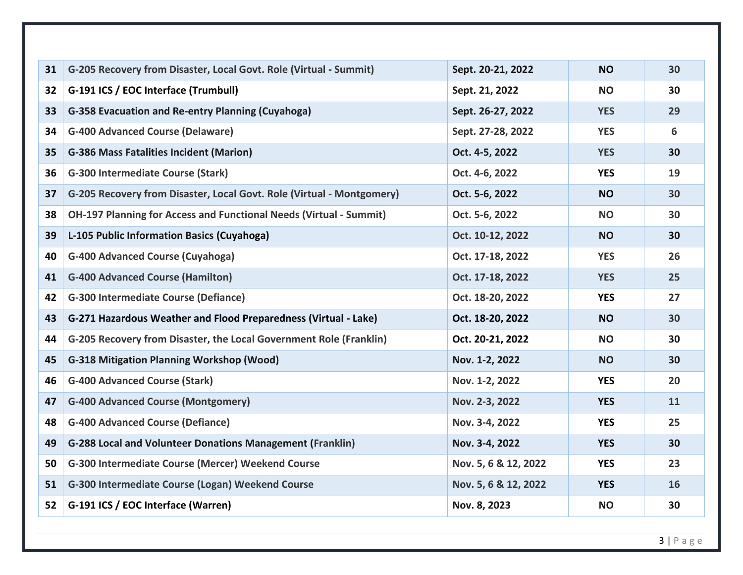| 31 | G-205 Recovery from Disaster, Local Govt. Role (Virtual - Summit)         | Sept. 20-21, 2022    | <b>NO</b>  | 30 |
|----|---------------------------------------------------------------------------|----------------------|------------|----|
| 32 | G-191 ICS / EOC Interface (Trumbull)                                      | Sept. 21, 2022       | <b>NO</b>  | 30 |
| 33 | G-358 Evacuation and Re-entry Planning (Cuyahoga)                         | Sept. 26-27, 2022    | <b>YES</b> | 29 |
| 34 | <b>G-400 Advanced Course (Delaware)</b>                                   | Sept. 27-28, 2022    | <b>YES</b> | 6  |
| 35 | <b>G-386 Mass Fatalities Incident (Marion)</b>                            | Oct. 4-5, 2022       | <b>YES</b> | 30 |
| 36 | <b>G-300 Intermediate Course (Stark)</b>                                  | Oct. 4-6, 2022       | <b>YES</b> | 19 |
| 37 | G-205 Recovery from Disaster, Local Govt. Role (Virtual - Montgomery)     | Oct. 5-6, 2022       | <b>NO</b>  | 30 |
| 38 | <b>OH-197 Planning for Access and Functional Needs (Virtual - Summit)</b> | Oct. 5-6, 2022       | <b>NO</b>  | 30 |
| 39 | L-105 Public Information Basics (Cuyahoga)                                | Oct. 10-12, 2022     | <b>NO</b>  | 30 |
| 40 | <b>G-400 Advanced Course (Cuyahoga)</b>                                   | Oct. 17-18, 2022     | <b>YES</b> | 26 |
| 41 | <b>G-400 Advanced Course (Hamilton)</b>                                   | Oct. 17-18, 2022     | <b>YES</b> | 25 |
| 42 | <b>G-300 Intermediate Course (Defiance)</b>                               | Oct. 18-20, 2022     | <b>YES</b> | 27 |
| 43 | G-271 Hazardous Weather and Flood Preparedness (Virtual - Lake)           | Oct. 18-20, 2022     | <b>NO</b>  | 30 |
| 44 | G-205 Recovery from Disaster, the Local Government Role (Franklin)        | Oct. 20-21, 2022     | <b>NO</b>  | 30 |
| 45 | <b>G-318 Mitigation Planning Workshop (Wood)</b>                          | Nov. 1-2, 2022       | <b>NO</b>  | 30 |
| 46 | <b>G-400 Advanced Course (Stark)</b>                                      | Nov. 1-2, 2022       | <b>YES</b> | 20 |
| 47 | <b>G-400 Advanced Course (Montgomery)</b>                                 | Nov. 2-3, 2022       | <b>YES</b> | 11 |
| 48 | <b>G-400 Advanced Course (Defiance)</b>                                   | Nov. 3-4, 2022       | <b>YES</b> | 25 |
| 49 | <b>G-288 Local and Volunteer Donations Management (Franklin)</b>          | Nov. 3-4, 2022       | <b>YES</b> | 30 |
| 50 | G-300 Intermediate Course (Mercer) Weekend Course                         | Nov. 5, 6 & 12, 2022 | <b>YES</b> | 23 |
| 51 | G-300 Intermediate Course (Logan) Weekend Course                          | Nov. 5, 6 & 12, 2022 | <b>YES</b> | 16 |
| 52 | G-191 ICS / EOC Interface (Warren)                                        | Nov. 8, 2023         | <b>NO</b>  | 30 |
|    |                                                                           |                      |            |    |